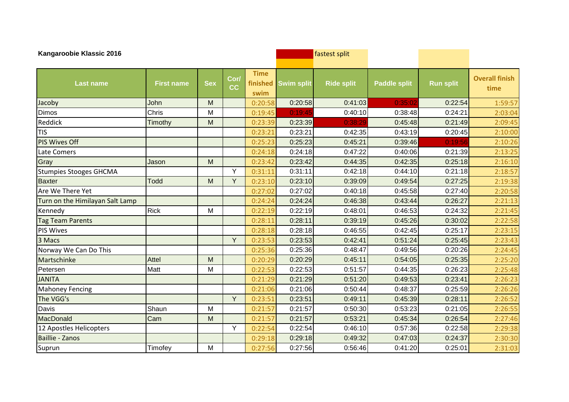| Kangaroobie Klassic 2016        |                   |            |                   |                                 |                   | fastest split     |                     |                  |                               |
|---------------------------------|-------------------|------------|-------------------|---------------------------------|-------------------|-------------------|---------------------|------------------|-------------------------------|
| <b>Last name</b>                | <b>First name</b> | <b>Sex</b> | Cor/<br><b>CC</b> | <b>Time</b><br>finished<br>swim | <b>Swim split</b> | <b>Ride split</b> | <b>Paddle split</b> | <b>Run split</b> | <b>Overall finish</b><br>time |
| Jacoby                          | John              | M          |                   | 0:20:58                         | 0:20:58           | 0:41:03           | 0:35:02             | 0:22:54          | 1:59:57                       |
| <b>Dimos</b>                    | Chris             | M          |                   | 0:19:45                         | 0:19:45           | 0:40:10           | 0:38:48             | 0:24:21          | 2:03:04                       |
| Reddick                         | Timothy           | M          |                   | 0:23:39                         | 0:23:39           | 0:38:29           | 0:45:48             | 0:21:49          | 2:09:45                       |
| <b>TIS</b>                      |                   |            |                   | 0:23:21                         | 0:23:21           | 0:42:35           | 0:43:19             | 0:20:45          | 2:10:00                       |
| <b>PIS Wives Off</b>            |                   |            |                   | 0:25:23                         | 0:25:23           | 0:45:21           | 0:39:46             | 0:19:56          | 2:10:26                       |
| Late Comers                     |                   |            |                   | 0:24:18                         | 0:24:18           | 0:47:22           | 0:40:06             | 0:21:39          | 2:13:25                       |
| Gray                            | Jason             | M          |                   | 0:23:42                         | 0:23:42           | 0:44:35           | 0:42:35             | 0:25:18          | 2:16:10                       |
| <b>Stumpies Stooges GHCMA</b>   |                   |            | Y                 | 0:31:11                         | 0:31:11           | 0:42:18           | 0:44:10             | 0:21:18          | 2:18:57                       |
| <b>Baxter</b>                   | <b>Todd</b>       | M          | Y                 | 0:23:10                         | 0:23:10           | 0:39:09           | 0:49:54             | 0:27:25          | 2:19:38                       |
| Are We There Yet                |                   |            |                   | 0:27:02                         | 0:27:02           | 0:40:18           | 0:45:58             | 0:27:40          | 2:20:58                       |
| Turn on the Himilayan Salt Lamp |                   |            |                   | 0:24:24                         | 0:24:24           | 0:46:38           | 0:43:44             | 0:26:27          | 2:21:13                       |
| Kennedy                         | <b>Rick</b>       | M          |                   | 0:22:19                         | 0:22:19           | 0:48:01           | 0:46:53             | 0:24:32          | 2:21:45                       |
| <b>Tag Team Parents</b>         |                   |            |                   | 0:28:11                         | 0:28:11           | 0:39:19           | 0:45:26             | 0:30:02          | 2:22:58                       |
| PIS Wives                       |                   |            |                   | 0:28:18                         | 0:28:18           | 0:46:55           | 0:42:45             | 0:25:17          | 2:23:15                       |
| 3 Macs                          |                   |            | Y                 | 0:23:53                         | 0:23:53           | 0:42:41           | 0:51:24             | 0:25:45          | 2:23:43                       |
| Norway We Can Do This           |                   |            |                   | 0:25:36                         | 0:25:36           | 0:48:47           | 0:49:56             | 0:20:26          | 2:24:45                       |
| Martschinke                     | <b>Attel</b>      | M          |                   | 0:20:29                         | 0:20:29           | 0:45:11           | 0:54:05             | 0:25:35          | 2:25:20                       |
| Petersen                        | Matt              | M          |                   | 0:22:53                         | 0:22:53           | 0:51:57           | 0:44:35             | 0:26:23          | 2:25:48                       |
| <b>JANITA</b>                   |                   |            |                   | 0:21:29                         | 0:21:29           | 0:51:20           | 0:49:53             | 0:23:41          | 2:26:23                       |
| <b>Mahoney Fencing</b>          |                   |            |                   | 0:21:06                         | 0:21:06           | 0:50:44           | 0:48:37             | 0:25:59          | 2:26:26                       |
| The VGG's                       |                   |            | Y                 | 0:23:51                         | 0:23:51           | 0:49:11           | 0:45:39             | 0:28:11          | 2:26:52                       |
| Davis                           | Shaun             | M          |                   | 0:21:57                         | 0:21:57           | 0:50:30           | 0:53:23             | 0:21:05          | 2:26:55                       |
| <b>MacDonald</b>                | Cam               | M          |                   | 0:21:57                         | 0:21:57           | 0:53:21           | 0:45:34             | 0:26:54          | 2:27:46                       |
| 12 Apostles Helicopters         |                   |            | Y                 | 0:22:54                         | 0:22:54           | 0:46:10           | 0:57:36             | 0:22:58          | 2:29:38                       |
| <b>Baillie - Zanos</b>          |                   |            |                   | 0:29:18                         | 0:29:18           | 0:49:32           | 0:47:03             | 0:24:37          | 2:30:30                       |
| Suprun                          | Timofey           | M          |                   | 0:27:56                         | 0:27:56           | 0:56:46           | 0:41:20             | 0:25:01          | 2:31:03                       |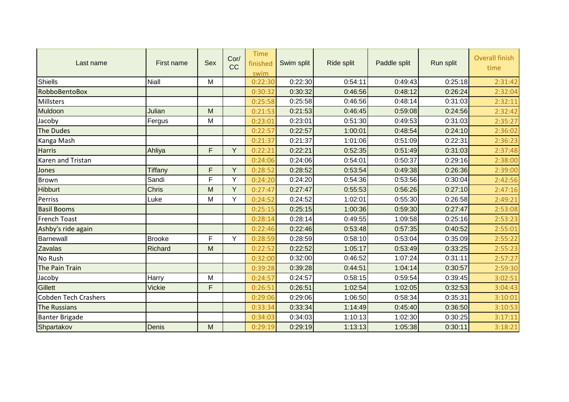| Last name                   | First name     | Sex | Cor/<br>CC | <b>Time</b><br>finished<br>swim | Swim split | Ride split | Paddle split | Run split | <b>Overall finish</b><br>time |
|-----------------------------|----------------|-----|------------|---------------------------------|------------|------------|--------------|-----------|-------------------------------|
| <b>Shiells</b>              | <b>Niall</b>   | M   |            | 0:22:30                         | 0:22:30    | 0:54:11    | 0:49:43      | 0:25:18   | 2:31:42                       |
| RobboBentoBox               |                |     |            | 0:30:32                         | 0:30:32    | 0:46:56    | 0:48:12      | 0:26:24   | 2:32:04                       |
| Millsters                   |                |     |            | 0:25:58                         | 0:25:58    | 0.46:56    | 0:48:14      | 0:31:03   | 2:32:11                       |
| Muldoon                     | Julian         | M   |            | 0:21:53                         | 0:21:53    | 0:46:45    | 0:59:08      | 0:24:56   | 2:32:42                       |
| Jacoby                      | Fergus         | M   |            | 0:23:01                         | 0:23:01    | 0:51:30    | 0:49:53      | 0:31:03   | 2:35:27                       |
| The Dudes                   |                |     |            | 0:22:57                         | 0:22:57    | 1:00:01    | 0:48:54      | 0:24:10   | 2:36:02                       |
| Kanga Mash                  |                |     |            | 0:21:37                         | 0:21:37    | 1:01:06    | 0:51:09      | 0:22:31   | 2:36:23                       |
| <b>Harris</b>               | Ahliya         | F.  | Y          | 0:22:21                         | 0:22:21    | 0:52:35    | 0:51:49      | 0:31:03   | 2:37:48                       |
| Karen and Tristan           |                |     |            | 0:24:06                         | 0:24:06    | 0:54:01    | 0:50:37      | 0:29:16   | 2:38:00                       |
| Jones                       | <b>Tiffany</b> | F   | Y          | 0:28:52                         | 0:28:52    | 0:53:54    | 0:49:38      | 0:26:36   | 2:39:00                       |
| <b>Brown</b>                | Sandi          | F.  | Y          | 0:24:20                         | 0:24:20    | 0:54:36    | 0:53:56      | 0:30:04   | 2:42:56                       |
| <b>Hibburt</b>              | <b>Chris</b>   | M   | Y          | 0:27:47                         | 0:27:47    | 0:55:53    | 0:56:26      | 0:27:10   | 2:47:16                       |
| Perriss                     | Luke           | M   | Y          | 0:24:52                         | 0:24:52    | 1:02:01    | 0:55:30      | 0:26:58   | 2:49:21                       |
| <b>Basil Booms</b>          |                |     |            | 0:25:15                         | 0:25:15    | 1:00:36    | 0:59:30      | 0:27:47   | 2:53:08                       |
| <b>French Toast</b>         |                |     |            | 0:28:14                         | 0:28:14    | 0:49:55    | 1:09:58      | 0:25:16   | 2:53:23                       |
| Ashby's ride again          |                |     |            | 0:22:46                         | 0:22:46    | 0:53:48    | 0:57:35      | 0:40:52   | 2:55:01                       |
| Barnewall                   | <b>Brooke</b>  | F   | Y          | 0:28:59                         | 0:28:59    | 0:58:10    | 0:53:04      | 0:35:09   | 2:55:22                       |
| <b>Zavalas</b>              | Richard        | M   |            | 0:22:52                         | 0:22:52    | 1:05:17    | 0:53:49      | 0:33:25   | 2:55:23                       |
| No Rush                     |                |     |            | 0:32:00                         | 0:32:00    | 0:46:52    | 1:07:24      | 0:31:11   | 2:57:27                       |
| The Pain Train              |                |     |            | 0:39:28                         | 0:39:28    | 0:44:51    | 1:04:14      | 0:30:57   | 2:59:30                       |
| Jacoby                      | Harry          | M   |            | 0:24:57                         | 0:24:57    | 0:58:15    | 0:59:54      | 0:39:45   | 3:02:51                       |
| <b>Gillett</b>              | <b>Vickie</b>  | F.  |            | 0:26:51                         | 0:26:51    | 1:02:54    | 1:02:05      | 0:32:53   | 3:04:43                       |
| <b>Cobden Tech Crashers</b> |                |     |            | 0:29:06                         | 0:29:06    | 1:06:50    | 0:58:34      | 0:35:31   | 3:10:01                       |
| <b>The Russians</b>         |                |     |            | 0:33:34                         | 0:33:34    | 1:14:49    | 0:45:40      | 0:36:50   | 3:10:53                       |
| <b>Banter Brigade</b>       |                |     |            | 0:34:03                         | 0:34:03    | 1:10:13    | 1:02:30      | 0:30:25   | 3:17:11                       |
| Shpartakov                  | Denis          | M   |            | 0:29:19                         | 0:29:19    | 1:13:13    | 1:05:38      | 0:30:11   | 3:18:21                       |